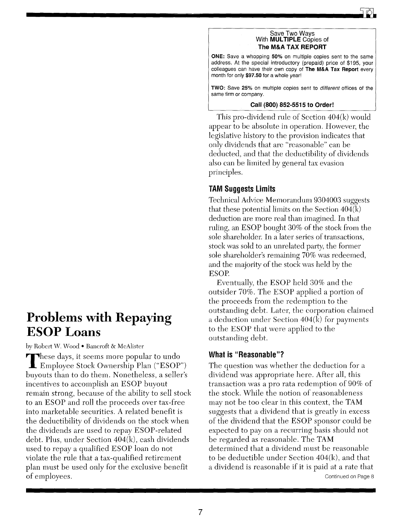#### Save Two Ways With MULTIPLE Copies of The M&A TAX REPORT

ONE: Save a whopping 50% on multiple copies sent to the same address. At the special introductory (prepaid) price of \$195, your colleagues can have their own copy of The M&A Tax Report every month for only \$97.50 for a whole year!

TWO: Save 25% on multiple copies sent to *different* offices of the same firm or company.

#### Call (800) 852-5515 to Order!

This pro-dividend rule of Section 404(k) would appear to be absolute in operation. However, the legislative history to the provision indicates that only dividends that are "reasonable" can be deducted, and that the deductibility of dividends also can be limited by general tax evasion principles.

## TAM Suggests Limits

Technical Advice Memorandum 9304003 suggests that these potential limits on the Section  $404(k)$ deduction are more real than imagined. In that ruling, an ESOP bought 30% of the stock from the sole shareholder. In a later series of transactions, stock was sold to an unrelated party, the former sole shareholder's remaining 70% was redeemed, and the majority of the stock was held by the ESOP.

Eventually, the ESOP held 30% and the outsider 70%. The ESOP applied a portion of the proceeds from the redemption to the outstanding debt. Later, the corporation claimed a deduction under Section 404(k) for payments to the ESOP that were applied to the outstanding debt.

### What is "Reasonable"?

The question was whether the deduction for a dividend was appropriate here. After all, this transaction was a pro rata redemption of 90% of the stock. While the notion of reasonableness may not be too clear in this context, the TAM suggests that a dividend that is greatly in excess of the dividend that the ESOP sponsor could be expected to pay on a recurring basis should not be regarded as reasonable. The TAM determined that a dividend must be reasonable to be deductible under Section 404(k), and that a dividend is reasonable if it is paid at a rate that Continued on Page 8

# Problems with Repaying ESOP Loans

by Robert W. Wood . Bancroft & McAlister

These days, it seems more popular to undo<br>Employee Stock Ownership Plan ("ESOP") buyouts than to do them. Nonetheless, a seller's incentives to accomplish an ESOP buyout remain strong, because of the ability to sell stock to an ESOP and roll the proceeds over tax-free into marketable securities. A related benefit is the deductibility of dividends on the stock when the dividends are used to repay ESOP-related debt. Plus, under Section 404(k), cash dividends used to repay a qualified ESOP loan do not violate the rule that a tax-qualified retirement plan must be used only for the exclusive benefit of employees.